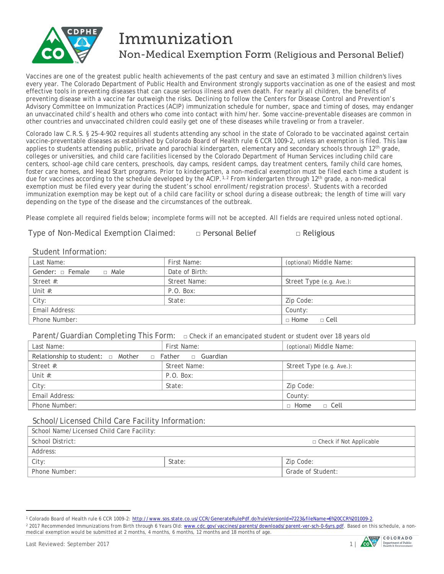

# Immunization Non-Medical Exemption Form (Religious and Personal Belief)

Vaccines are one of the greatest public health achievements of the past century and save an estimated 3 million children's lives every year. The Colorado Department of Public Health and Environment strongly supports vaccination as one of the easiest and most effective tools in preventing diseases that can cause serious illness and even death. For nearly all children, the benefits of preventing disease with a vaccine far outweigh the risks. Declining to follow the Centers for Disease Control and Prevention's Advisory Committee on Immunization Practices (ACIP) immunization schedule for number, space and timing of doses, may endanger an unvaccinated child's health and others who come into contact with him/her. Some vaccine-preventable diseases are common in other countries and unvaccinated children could easily get one of these diseases while traveling or from a traveler.

Colorado law C.R.S. § 25-4-902 requires all students attending any school in the state of Colorado to be vaccinated against certain vaccine-preventable diseases as established by Colorado Board of Health rule 6 CCR 1009-2, unless an exemption is filed. This law applies to students attending public, private and parochial kindergarten, elementary and secondary schools through 12<sup>th</sup> grade, colleges or universities, and child care facilities licensed by the Colorado Department of Human Services including child care centers, school-age child care centers, preschools, day camps, resident camps, day treatment centers, family child care homes, foster care homes, and Head Start programs. Prior to kindergarten, a non-medical exemption must be filed each time a student is due for vaccines according to the schedule developed by the ACIP.<sup>1,[2](#page-0-1)</sup> From kindergarten through 12<sup>th</sup> grade, a non-medical exemption must be filed every year during the student's school enrollment/registration process<sup>1</sup>. Students with a recorded immunization exemption may be kept out of a child care facility or school during a disease outbreak; the length of time will vary depending on the type of the disease and the circumstances of the outbreak.

Please complete all required fields below; incomplete forms will not be accepted. *All fields are required unless noted optional.*

Type of Non-Medical Exemption Claimed: □ Personal Belief □ Religious

### Student Information:

| Last Name:                      | First Name:    | (optional) Middle Name:  |  |  |
|---------------------------------|----------------|--------------------------|--|--|
| Gender: $\Box$ Female<br>□ Male | Date of Birth: |                          |  |  |
| Street $#$ :                    | Street Name:   | Street Type (e.g. Ave.): |  |  |
| Unit $#$ :                      | P.O. Box:      |                          |  |  |
| City:                           | State:         | Zip Code:                |  |  |
| Email Address:                  |                | County:                  |  |  |
| Phone Number:                   |                | $\Box$ Home<br>□ Cell    |  |  |

Parent/Guardian Completing This Form: **□** Check if an emancipated student or student over 18 years old

| Last Name:                                                           | First Name:  | (optional) Middle Name:    |  |  |
|----------------------------------------------------------------------|--------------|----------------------------|--|--|
| Relationship to student: $\Box$ Mother $\Box$ Father $\Box$ Guardian |              |                            |  |  |
| Street $#$ :                                                         | Street Name: | Street Type (e.g. Ave.):   |  |  |
| Unit $#$ :                                                           | P.O. Box:    |                            |  |  |
| City:                                                                | State:       | Zip Code:                  |  |  |
| Email Address:                                                       |              | County:                    |  |  |
| Phone Number:                                                        |              | $\Box$ Home<br>$\Box$ Cell |  |  |

#### School/Licensed Child Care Facility Information:

| School Name/Licensed Child Care Facility: |        |                           |  |  |
|-------------------------------------------|--------|---------------------------|--|--|
| School District:                          |        | □ Check if Not Applicable |  |  |
| Address:                                  |        |                           |  |  |
| City:                                     | State: | Zip Code:                 |  |  |
| Phone Number:                             |        | Grade of Student:         |  |  |
|                                           |        |                           |  |  |

 $\overline{a}$ 



<span id="page-0-0"></span><sup>1</sup> Colorado Board of Health rule 6 CCR 1009-2: [http://www.sos.state.co.us/CCR/GenerateRulePdf.do?ruleVersionId=7223&fileName=6%20CCR%201009-2.](http://www.sos.state.co.us/CCR/GenerateRulePdf.do?ruleVersionId=7223&fileName=6%20CCR%201009-2)

<span id="page-0-1"></span><sup>&</sup>lt;sup>2</sup> 2017 Recommended Immunizations from Birth through 6 Years Old: [www.cdc.gov/vaccines/parents/downloads/parent-ver-sch-0-6yrs.pdf.](http://www.cdc.gov/vaccines/parents/downloads/parent-ver-sch-0-6yrs.pdf) Based on this schedule, a nonmedical exemption would be submitted at 2 months, 4 months, 6 months, 12 months and 18 months of age.